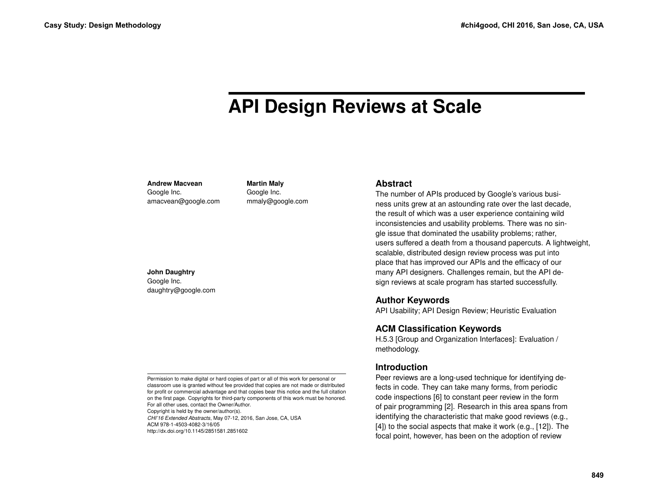# **API Design Reviews at Scale**

**Andrew Macvean** Google Inc.

amacvean@google.com

**Martin Maly** Google Inc. mmaly@google.com

**John Daughtry**

Google Inc. daughtry@google.com

Permission to make digital or hard copies of part or all of this work for personal or classroom use is granted without fee provided that copies are not made or distributed for profit or commercial advantage and that copies bear this notice and the full citation on the first page. Copyrights for third-party components of this work must be honored. For all other uses, contact the Owner/Author.

Copyright is held by the owner/author(s). *CHI'16 Extended Abstracts*, May 07-12, 2016, San Jose, CA, USA ACM 978-1-4503-4082-3/16/05 http://dx.doi.org/10.1145/2851581.2851602

## **Abstract**

The number of APIs produced by Google's various business units grew at an astounding rate over the last decade, the result of which was a user experience containing wild inconsistencies and usability problems. There was no single issue that dominated the usability problems; rather, users suffered a death from a thousand papercuts. A lightweight, scalable, distributed design review process was put into place that has improved our APIs and the efficacy of our many API designers. Challenges remain, but the API design reviews at scale program has started successfully.

# **Author Keywords**

API Usability; API Design Review; Heuristic Evaluation

# **ACM Classification Keywords**

H.5.3 [Group and Organization Interfaces]: Evaluation / methodology.

# **Introduction**

Peer reviews are a long-used technique for identifying defects in code. They can take many forms, from periodic code inspections [\[6\]](#page-9-0) to constant peer review in the form of pair programming [\[2\]](#page-9-1). Research in this area spans from identifying the characteristic that make good reviews (e.g., [\[4\]](#page-9-2)) to the social aspects that make it work (e.g., [\[12\]](#page-9-3)). The focal point, however, has been on the adoption of review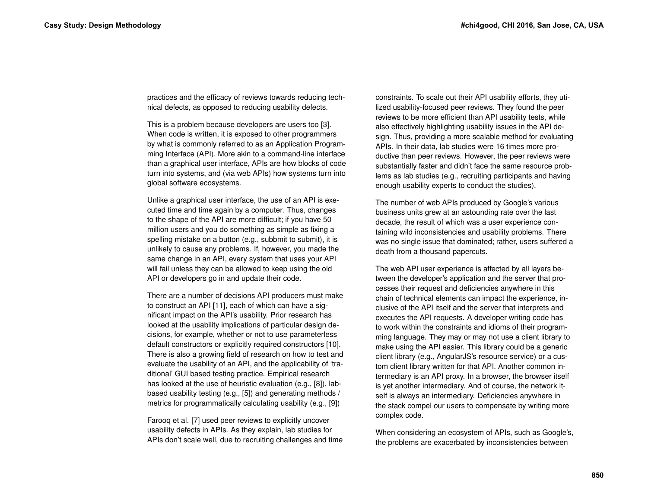practices and the efficacy of reviews towards reducing technical defects, as opposed to reducing usability defects.

This is a problem because developers are users too [\[3\]](#page-9-4). When code is written, it is exposed to other programmers by what is commonly referred to as an Application Programming Interface (API). More akin to a command-line interface than a graphical user interface, APIs are how blocks of code turn into systems, and (via web APIs) how systems turn into global software ecosystems.

Unlike a graphical user interface, the use of an API is executed time and time again by a computer. Thus, changes to the shape of the API are more difficult; if you have 50 million users and you do something as simple as fixing a spelling mistake on a button (e.g., subbmit to submit), it is unlikely to cause any problems. If, however, you made the same change in an API, every system that uses your API will fail unless they can be allowed to keep using the old API or developers go in and update their code.

There are a number of decisions API producers must make to construct an API [\[11\]](#page-9-5), each of which can have a significant impact on the API's usability. Prior research has looked at the usability implications of particular design decisions, for example, whether or not to use parameterless default constructors or explicitly required constructors [\[10\]](#page-9-6). There is also a growing field of research on how to test and evaluate the usability of an API, and the applicability of 'traditional' GUI based testing practice. Empirical research has looked at the use of heuristic evaluation (e.g., [\[8\]](#page-9-7)), labbased usability testing (e.g., [\[5\]](#page-9-8)) and generating methods / metrics for programmatically calculating usability (e.g., [\[9\]](#page-9-9))

Farooq et al. [\[7\]](#page-9-10) used peer reviews to explicitly uncover usability defects in APIs. As they explain, lab studies for APIs don't scale well, due to recruiting challenges and time constraints. To scale out their API usability efforts, they utilized usability-focused peer reviews. They found the peer reviews to be more efficient than API usability tests, while also effectively highlighting usability issues in the API design. Thus, providing a more scalable method for evaluating APIs. In their data, lab studies were 16 times more productive than peer reviews. However, the peer reviews were substantially faster and didn't face the same resource problems as lab studies (e.g., recruiting participants and having enough usability experts to conduct the studies).

The number of web APIs produced by Google's various business units grew at an astounding rate over the last decade, the result of which was a user experience containing wild inconsistencies and usability problems. There was no single issue that dominated; rather, users suffered a death from a thousand papercuts.

The web API user experience is affected by all layers between the developer's application and the server that processes their request and deficiencies anywhere in this chain of technical elements can impact the experience, inclusive of the API itself and the server that interprets and executes the API requests. A developer writing code has to work within the constraints and idioms of their programming language. They may or may not use a client library to make using the API easier. This library could be a generic client library (e.g., AngularJS's resource service) or a custom client library written for that API. Another common intermediary is an API proxy. In a browser, the browser itself is yet another intermediary. And of course, the network itself is always an intermediary. Deficiencies anywhere in the stack compel our users to compensate by writing more complex code.

When considering an ecosystem of APIs, such as Google's, the problems are exacerbated by inconsistencies between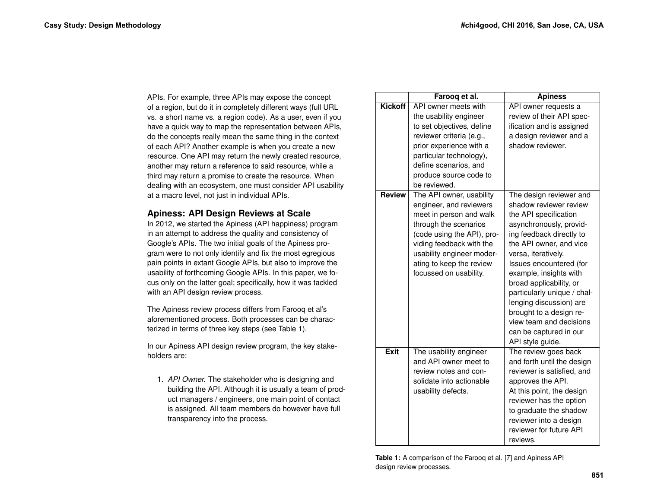APIs. For example, three APIs may expose the concept of a region, but do it in completely different ways (full URL vs. a short name vs. a region code). As a user, even if you have a quick way to map the representation between APIs, do the concepts really mean the same thing in the context of each API? Another example is when you create a new resource. One API may return the newly created resource, another may return a reference to said resource, while a third may return a promise to create the resource. When dealing with an ecosystem, one must consider API usability at a macro level, not just in individual APIs.

# **Apiness: API Design Reviews at Scale**

In 2012, we started the Apiness (API happiness) program in an attempt to address the quality and consistency of Google's APIs. The two initial goals of the Apiness program were to not only identify and fix the most egregious pain points in extant Google APIs, but also to improve the usability of forthcoming Google APIs. In this paper, we focus only on the latter goal; specifically, how it was tackled with an API design review process.

The Apiness review process differs from Farooq et al's aforementioned process. Both processes can be characterized in terms of three key steps (see Table [1\)](#page-2-0).

In our Apiness API design review program, the key stakeholders are:

1. *API Owner.* The stakeholder who is designing and building the API. Although it is usually a team of product managers / engineers, one main point of contact is assigned. All team members do however have full transparency into the process.

<span id="page-2-0"></span>

|                | Farooq et al.                                                                                                                                                                                                                                        | <b>Apiness</b>                                                                                                                                                                                                                                                                                                                                                                                                                    |
|----------------|------------------------------------------------------------------------------------------------------------------------------------------------------------------------------------------------------------------------------------------------------|-----------------------------------------------------------------------------------------------------------------------------------------------------------------------------------------------------------------------------------------------------------------------------------------------------------------------------------------------------------------------------------------------------------------------------------|
| <b>Kickoff</b> | API owner meets with<br>the usability engineer<br>to set objectives, define<br>reviewer criteria (e.g.,<br>prior experience with a<br>particular technology),<br>define scenarios, and<br>produce source code to<br>be reviewed.                     | API owner requests a<br>review of their API spec-<br>ification and is assigned<br>a design reviewer and a<br>shadow reviewer.                                                                                                                                                                                                                                                                                                     |
| <b>Review</b>  | The API owner, usability<br>engineer, and reviewers<br>meet in person and walk<br>through the scenarios<br>(code using the API), pro-<br>viding feedback with the<br>usability engineer moder-<br>ating to keep the review<br>focussed on usability. | The design reviewer and<br>shadow reviewer review<br>the API specification<br>asynchronously, provid-<br>ing feedback directly to<br>the API owner, and vice<br>versa, iteratively.<br>Issues encountered (for<br>example, insights with<br>broad applicability, or<br>particularly unique / chal-<br>lenging discussion) are<br>brought to a design re-<br>view team and decisions<br>can be captured in our<br>API style guide. |
| <b>Exit</b>    | The usability engineer<br>and API owner meet to<br>review notes and con-<br>solidate into actionable<br>usability defects.                                                                                                                           | The review goes back<br>and forth until the design<br>reviewer is satisfied, and<br>approves the API.<br>At this point, the design<br>reviewer has the option<br>to graduate the shadow<br>reviewer into a design<br>reviewer for future API<br>reviews.                                                                                                                                                                          |

**Table 1:** A comparison of the Farooq et al. [\[7\]](#page-9-10) and Apiness API design review processes.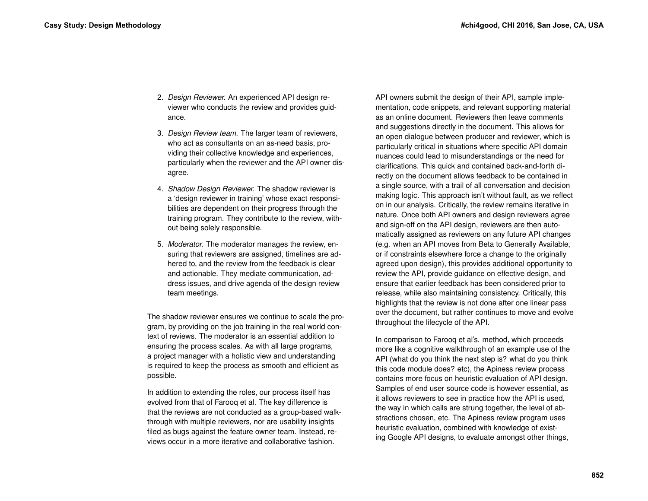- 2. *Design Reviewer.* An experienced API design reviewer who conducts the review and provides guidance.
- 3. *Design Review team.* The larger team of reviewers, who act as consultants on an as-need basis, providing their collective knowledge and experiences, particularly when the reviewer and the API owner disagree.
- 4. *Shadow Design Reviewer.* The shadow reviewer is a 'design reviewer in training' whose exact responsibilities are dependent on their progress through the training program. They contribute to the review, without being solely responsible.
- 5. *Moderator.* The moderator manages the review, ensuring that reviewers are assigned, timelines are adhered to, and the review from the feedback is clear and actionable. They mediate communication, address issues, and drive agenda of the design review team meetings.

The shadow reviewer ensures we continue to scale the program, by providing on the job training in the real world context of reviews. The moderator is an essential addition to ensuring the process scales. As with all large programs, a project manager with a holistic view and understanding is required to keep the process as smooth and efficient as possible.

In addition to extending the roles, our process itself has evolved from that of Farooq et al. The key difference is that the reviews are not conducted as a group-based walkthrough with multiple reviewers, nor are usability insights filed as bugs against the feature owner team. Instead, reviews occur in a more iterative and collaborative fashion.

API owners submit the design of their API, sample implementation, code snippets, and relevant supporting material as an online document. Reviewers then leave comments and suggestions directly in the document. This allows for an open dialogue between producer and reviewer, which is particularly critical in situations where specific API domain nuances could lead to misunderstandings or the need for clarifications. This quick and contained back-and-forth directly on the document allows feedback to be contained in a single source, with a trail of all conversation and decision making logic. This approach isn't without fault, as we reflect on in our analysis. Critically, the review remains iterative in nature. Once both API owners and design reviewers agree and sign-off on the API design, reviewers are then automatically assigned as reviewers on any future API changes (e.g. when an API moves from Beta to Generally Available, or if constraints elsewhere force a change to the originally agreed upon design), this provides additional opportunity to review the API, provide guidance on effective design, and ensure that earlier feedback has been considered prior to release, while also maintaining consistency. Critically, this highlights that the review is not done after one linear pass over the document, but rather continues to move and evolve throughout the lifecycle of the API.

In comparison to Farooq et al's. method, which proceeds more like a cognitive walkthrough of an example use of the API (what do you think the next step is? what do you think this code module does? etc), the Apiness review process contains more focus on heuristic evaluation of API design. Samples of end user source code is however essential, as it allows reviewers to see in practice how the API is used, the way in which calls are strung together, the level of abstractions chosen, etc. The Apiness review program uses heuristic evaluation, combined with knowledge of existing Google API designs, to evaluate amongst other things,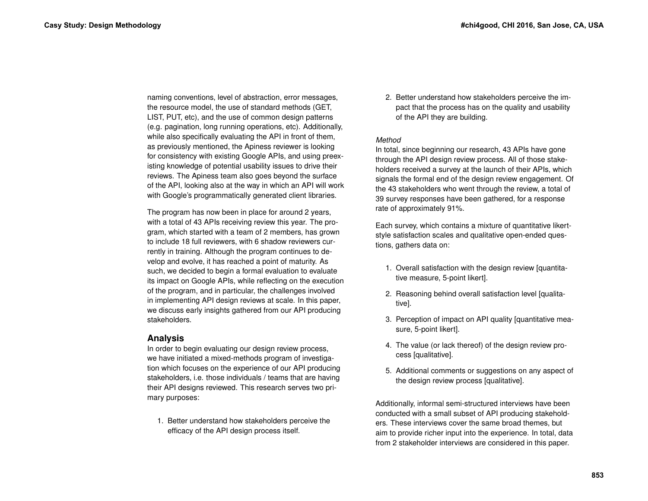naming conventions, level of abstraction, error messages, the resource model, the use of standard methods (GET, LIST, PUT, etc), and the use of common design patterns (e.g. pagination, long running operations, etc). Additionally, while also specifically evaluating the API in front of them, as previously mentioned, the Apiness reviewer is looking for consistency with existing Google APIs, and using preexisting knowledge of potential usability issues to drive their reviews. The Apiness team also goes beyond the surface of the API, looking also at the way in which an API will work with Google's programmatically generated client libraries.

The program has now been in place for around 2 years, with a total of 43 APIs receiving review this year. The program, which started with a team of 2 members, has grown to include 18 full reviewers, with 6 shadow reviewers currently in training. Although the program continues to develop and evolve, it has reached a point of maturity. As such, we decided to begin a formal evaluation to evaluate its impact on Google APIs, while reflecting on the execution of the program, and in particular, the challenges involved in implementing API design reviews at scale. In this paper, we discuss early insights gathered from our API producing stakeholders.

## **Analysis**

In order to begin evaluating our design review process, we have initiated a mixed-methods program of investigation which focuses on the experience of our API producing stakeholders, i.e. those individuals / teams that are having their API designs reviewed. This research serves two primary purposes:

1. Better understand how stakeholders perceive the efficacy of the API design process itself.

2. Better understand how stakeholders perceive the impact that the process has on the quality and usability of the API they are building.

## *Method*

In total, since beginning our research, 43 APIs have gone through the API design review process. All of those stakeholders received a survey at the launch of their APIs, which signals the formal end of the design review engagement. Of the 43 stakeholders who went through the review, a total of 39 survey responses have been gathered, for a response rate of approximately 91%.

Each survey, which contains a mixture of quantitative likertstyle satisfaction scales and qualitative open-ended questions, gathers data on:

- 1. Overall satisfaction with the design review [quantitative measure, 5-point likert].
- 2. Reasoning behind overall satisfaction level [qualitative].
- 3. Perception of impact on API quality [quantitative measure, 5-point likert].
- 4. The value (or lack thereof) of the design review process [qualitative].
- 5. Additional comments or suggestions on any aspect of the design review process [qualitative].

Additionally, informal semi-structured interviews have been conducted with a small subset of API producing stakeholders. These interviews cover the same broad themes, but aim to provide richer input into the experience. In total, data from 2 stakeholder interviews are considered in this paper.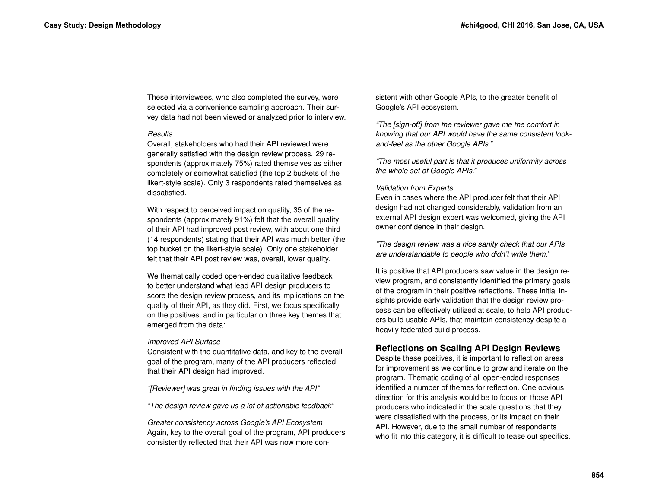These interviewees, who also completed the survey, were selected via a convenience sampling approach. Their survey data had not been viewed or analyzed prior to interview.

## *Results*

Overall, stakeholders who had their API reviewed were generally satisfied with the design review process. 29 respondents (approximately 75%) rated themselves as either completely or somewhat satisfied (the top 2 buckets of the likert-style scale). Only 3 respondents rated themselves as dissatisfied.

With respect to perceived impact on quality, 35 of the respondents (approximately 91%) felt that the overall quality of their API had improved post review, with about one third (14 respondents) stating that their API was much better (the top bucket on the likert-style scale). Only one stakeholder felt that their API post review was, overall, lower quality.

We thematically coded open-ended qualitative feedback to better understand what lead API design producers to score the design review process, and its implications on the quality of their API, as they did. First, we focus specifically on the positives, and in particular on three key themes that emerged from the data:

## *Improved API Surface*

Consistent with the quantitative data, and key to the overall goal of the program, many of the API producers reflected that their API design had improved.

*"[Reviewer] was great in finding issues with the API"*

*"The design review gave us a lot of actionable feedback"*

*Greater consistency across Google's API Ecosystem* Again, key to the overall goal of the program, API producers consistently reflected that their API was now more consistent with other Google APIs, to the greater benefit of Google's API ecosystem.

*"The [sign-off] from the reviewer gave me the comfort in knowing that our API would have the same consistent lookand-feel as the other Google APIs."*

*"The most useful part is that it produces uniformity across the whole set of Google APIs."*

## *Validation from Experts*

Even in cases where the API producer felt that their API design had not changed considerably, validation from an external API design expert was welcomed, giving the API owner confidence in their design.

*"The design review was a nice sanity check that our APIs are understandable to people who didn't write them."*

It is positive that API producers saw value in the design review program, and consistently identified the primary goals of the program in their positive reflections. These initial insights provide early validation that the design review process can be effectively utilized at scale, to help API producers build usable APIs, that maintain consistency despite a heavily federated build process.

## **Reflections on Scaling API Design Reviews**

Despite these positives, it is important to reflect on areas for improvement as we continue to grow and iterate on the program. Thematic coding of all open-ended responses identified a number of themes for reflection. One obvious direction for this analysis would be to focus on those API producers who indicated in the scale questions that they were dissatisfied with the process, or its impact on their API. However, due to the small number of respondents who fit into this category, it is difficult to tease out specifics.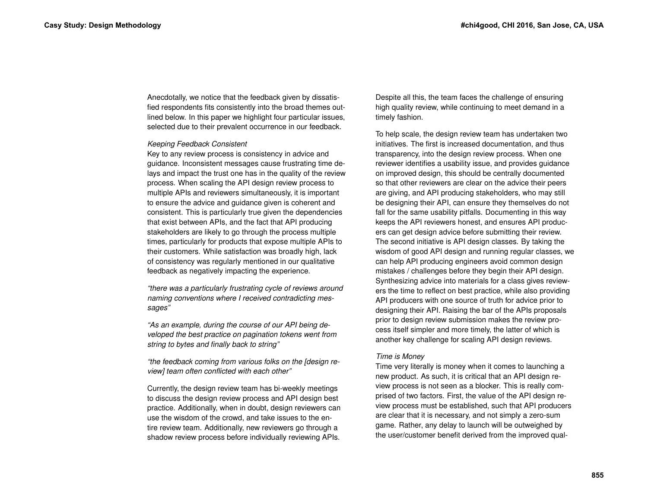Anecdotally, we notice that the feedback given by dissatisfied respondents fits consistently into the broad themes outlined below. In this paper we highlight four particular issues, selected due to their prevalent occurrence in our feedback.

#### *Keeping Feedback Consistent*

Key to any review process is consistency in advice and guidance. Inconsistent messages cause frustrating time delays and impact the trust one has in the quality of the review process. When scaling the API design review process to multiple APIs and reviewers simultaneously, it is important to ensure the advice and guidance given is coherent and consistent. This is particularly true given the dependencies that exist between APIs, and the fact that API producing stakeholders are likely to go through the process multiple times, particularly for products that expose multiple APIs to their customers. While satisfaction was broadly high, lack of consistency was regularly mentioned in our qualitative feedback as negatively impacting the experience.

*"there was a particularly frustrating cycle of reviews around naming conventions where I received contradicting messages"*

*"As an example, during the course of our API being developed the best practice on pagination tokens went from string to bytes and finally back to string"*

*"the feedback coming from various folks on the [design review] team often conflicted with each other"*

Currently, the design review team has bi-weekly meetings to discuss the design review process and API design best practice. Additionally, when in doubt, design reviewers can use the wisdom of the crowd, and take issues to the entire review team. Additionally, new reviewers go through a shadow review process before individually reviewing APIs.

Despite all this, the team faces the challenge of ensuring high quality review, while continuing to meet demand in a timely fashion.

To help scale, the design review team has undertaken two initiatives. The first is increased documentation, and thus transparency, into the design review process. When one reviewer identifies a usability issue, and provides guidance on improved design, this should be centrally documented so that other reviewers are clear on the advice their peers are giving, and API producing stakeholders, who may still be designing their API, can ensure they themselves do not fall for the same usability pitfalls. Documenting in this way keeps the API reviewers honest, and ensures API producers can get design advice before submitting their review. The second initiative is API design classes. By taking the wisdom of good API design and running regular classes, we can help API producing engineers avoid common design mistakes / challenges before they begin their API design. Synthesizing advice into materials for a class gives reviewers the time to reflect on best practice, while also providing API producers with one source of truth for advice prior to designing their API. Raising the bar of the APIs proposals prior to design review submission makes the review process itself simpler and more timely, the latter of which is another key challenge for scaling API design reviews.

#### *Time is Money*

Time very literally is money when it comes to launching a new product. As such, it is critical that an API design review process is not seen as a blocker. This is really comprised of two factors. First, the value of the API design review process must be established, such that API producers are clear that it is necessary, and not simply a zero-sum game. Rather, any delay to launch will be outweighed by the user/customer benefit derived from the improved qual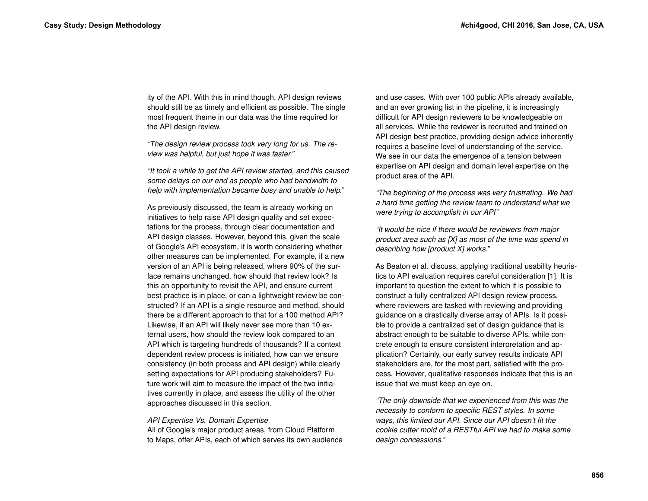ity of the API. With this in mind though, API design reviews should still be as timely and efficient as possible. The single most frequent theme in our data was the time required for the API design review.

*"The design review process took very long for us. The review was helpful, but just hope it was faster."*

*"It took a while to get the API review started, and this caused some delays on our end as people who had bandwidth to help with implementation became busy and unable to help."*

As previously discussed, the team is already working on initiatives to help raise API design quality and set expectations for the process, through clear documentation and API design classes. However, beyond this, given the scale of Google's API ecosystem, it is worth considering whether other measures can be implemented. For example, if a new version of an API is being released, where 90% of the surface remains unchanged, how should that review look? Is this an opportunity to revisit the API, and ensure current best practice is in place, or can a lightweight review be constructed? If an API is a single resource and method, should there be a different approach to that for a 100 method API? Likewise, if an API will likely never see more than 10 external users, how should the review look compared to an API which is targeting hundreds of thousands? If a context dependent review process is initiated, how can we ensure consistency (in both process and API design) while clearly setting expectations for API producing stakeholders? Future work will aim to measure the impact of the two initiatives currently in place, and assess the utility of the other approaches discussed in this section.

#### *API Expertise Vs. Domain Expertise*

All of Google's major product areas, from Cloud Platform to Maps, offer APIs, each of which serves its own audience and use cases. With over 100 public APIs already available, and an ever growing list in the pipeline, it is increasingly difficult for API design reviewers to be knowledgeable on all services. While the reviewer is recruited and trained on API design best practice, providing design advice inherently requires a baseline level of understanding of the service. We see in our data the emergence of a tension between expertise on API design and domain level expertise on the product area of the API.

*"The beginning of the process was very frustrating. We had a hard time getting the review team to understand what we were trying to accomplish in our API"*

*"It would be nice if there would be reviewers from major product area such as [X] as most of the time was spend in describing how [product X] works."*

As Beaton et al. discuss, applying traditional usability heuristics to API evaluation requires careful consideration [\[1\]](#page-9-11). It is important to question the extent to which it is possible to construct a fully centralized API design review process, where reviewers are tasked with reviewing and providing guidance on a drastically diverse array of APIs. Is it possible to provide a centralized set of design guidance that is abstract enough to be suitable to diverse APIs, while concrete enough to ensure consistent interpretation and application? Certainly, our early survey results indicate API stakeholders are, for the most part, satisfied with the process. However, qualitative responses indicate that this is an issue that we must keep an eye on.

*"The only downside that we experienced from this was the necessity to conform to specific REST styles. In some ways, this limited our API. Since our API doesn't fit the cookie cutter mold of a RESTful API we had to make some design concessions."*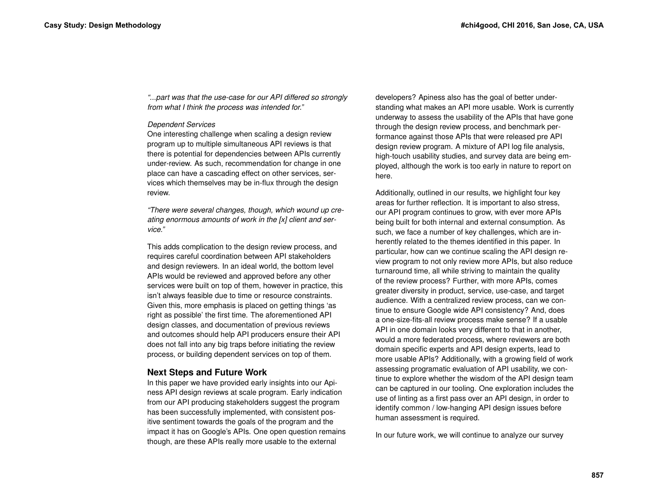*"...part was that the use-case for our API differed so strongly from what I think the process was intended for."*

## *Dependent Services*

One interesting challenge when scaling a design review program up to multiple simultaneous API reviews is that there is potential for dependencies between APIs currently under-review. As such, recommendation for change in one place can have a cascading effect on other services, services which themselves may be in-flux through the design review.

*"There were several changes, though, which wound up creating enormous amounts of work in the [x] client and service."*

This adds complication to the design review process, and requires careful coordination between API stakeholders and design reviewers. In an ideal world, the bottom level APIs would be reviewed and approved before any other services were built on top of them, however in practice, this isn't always feasible due to time or resource constraints. Given this, more emphasis is placed on getting things 'as right as possible' the first time. The aforementioned API design classes, and documentation of previous reviews and outcomes should help API producers ensure their API does not fall into any big traps before initiating the review process, or building dependent services on top of them.

## **Next Steps and Future Work**

In this paper we have provided early insights into our Apiness API design reviews at scale program. Early indication from our API producing stakeholders suggest the program has been successfully implemented, with consistent positive sentiment towards the goals of the program and the impact it has on Google's APIs. One open question remains though, are these APIs really more usable to the external

developers? Apiness also has the goal of better understanding what makes an API more usable. Work is currently underway to assess the usability of the APIs that have gone through the design review process, and benchmark performance against those APIs that were released pre API design review program. A mixture of API log file analysis, high-touch usability studies, and survey data are being employed, although the work is too early in nature to report on here.

Additionally, outlined in our results, we highlight four key areas for further reflection. It is important to also stress, our API program continues to grow, with ever more APIs being built for both internal and external consumption. As such, we face a number of key challenges, which are inherently related to the themes identified in this paper. In particular, how can we continue scaling the API design review program to not only review more APIs, but also reduce turnaround time, all while striving to maintain the quality of the review process? Further, with more APIs, comes greater diversity in product, service, use-case, and target audience. With a centralized review process, can we continue to ensure Google wide API consistency? And, does a one-size-fits-all review process make sense? If a usable API in one domain looks very different to that in another, would a more federated process, where reviewers are both domain specific experts and API design experts, lead to more usable APIs? Additionally, with a growing field of work assessing programatic evaluation of API usability, we continue to explore whether the wisdom of the API design team can be captured in our tooling. One exploration includes the use of linting as a first pass over an API design, in order to identify common / low-hanging API design issues before human assessment is required.

In our future work, we will continue to analyze our survey